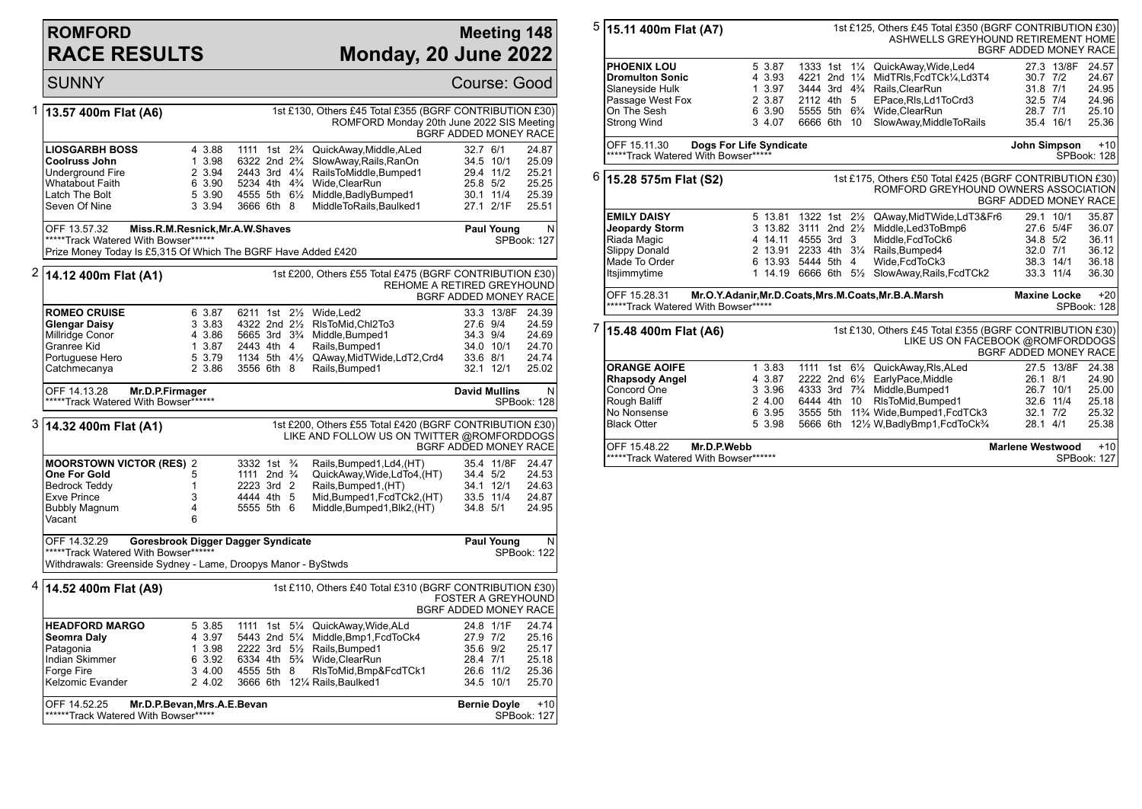## **ROMFORD RACE RESULTS**

## **Meeting 148 Monday, 20 June 2022**

|   | <b>SUNNY</b>                                                                                                                                                |                                                          |                                                                                                                                                                            |  |  |                                                                                                                                                                                                                   |                                  |                                                              | Course: Good                                       |
|---|-------------------------------------------------------------------------------------------------------------------------------------------------------------|----------------------------------------------------------|----------------------------------------------------------------------------------------------------------------------------------------------------------------------------|--|--|-------------------------------------------------------------------------------------------------------------------------------------------------------------------------------------------------------------------|----------------------------------|--------------------------------------------------------------|----------------------------------------------------|
| 1 | 13.57 400m Flat (A6)                                                                                                                                        |                                                          |                                                                                                                                                                            |  |  | 1st £130, Others £45 Total £355 (BGRF CONTRIBUTION £30)<br>ROMFORD Monday 20th June 2022 SIS Meeting                                                                                                              |                                  |                                                              | BGRF ADDED MONEY RACE                              |
|   | <b>LIOSGARBH BOSS</b><br>Coolruss John<br>Underground Fire<br>Whatabout Faith<br>Latch The Bolt<br>Seven Of Nine                                            | 4 3.88<br>1 3.98<br>2 3.94<br>6 3.90<br>5 3.90<br>3 3.94 | 1111 1st 2 <sup>3</sup> / <sub>4</sub><br>6322 2nd 2 <sup>3</sup> / <sub>4</sub><br>2443 3rd 41/4<br>5234 4th 4 <sup>3</sup> / <sub>4</sub><br>4555 5th 61/2<br>3666 6th 8 |  |  | QuickAway, Middle, ALed<br>SlowAway, Rails, RanOn<br>RailsToMiddle, Bumped1<br>Wide, ClearRun<br>Middle, Badly Bumped1<br>MiddleToRails, Baulked1                                                                 | 32.7 6/1                         | 34.5 10/1<br>29.4 11/2<br>25.8 5/2<br>30.1 11/4<br>27.1 2/1F | 24.87<br>25.09<br>25.21<br>25.25<br>25.39<br>25.51 |
|   | OFF 13.57.32<br>*****Track Watered With Bowser******<br>Prize Money Today Is £5,315 Of Which The BGRF Have Added £420                                       | Miss.R.M.Resnick, Mr.A.W.Shaves                          |                                                                                                                                                                            |  |  |                                                                                                                                                                                                                   |                                  | <b>Paul Young</b>                                            | $\mathsf{N}$<br><b>SPBook: 127</b>                 |
|   | <sup>2</sup>  14.12 400m Flat (A1)                                                                                                                          |                                                          |                                                                                                                                                                            |  |  | 1st £200, Others £55 Total £475 (BGRF CONTRIBUTION £30)<br>REHOME A RETIRED GREYHOUND                                                                                                                             |                                  |                                                              | BGRF ADDED MONEY RACE                              |
|   | <b>ROMEO CRUISE</b><br><b>Glengar Daisy</b><br>Millridge Conor<br>Granree Kid<br>Portuguese Hero<br>Catchmecanya                                            | 6 3.87<br>3 3.83<br>4 3.86<br>1 3.87<br>5 3.79<br>2 3.86 | 6211 1st 21/ <sub>2</sub><br>2443 4th 4<br>3556 6th 8                                                                                                                      |  |  | Wide.Led2<br>4322 2nd 21/2 RIsToMid, Chl2To3<br>5665 3rd 3 <sup>3</sup> / <sub>4</sub> Middle, Bumped 1<br>Rails, Bumped1<br>1134 5th 41/ <sub>2</sub> QAway, Mid TWide, Ld T2, Crd4<br>Rails, Bumped1            | 27.6 9/4<br>34.3 9/4             | 33.3 13/8F<br>34.0 10/1<br>33.6 8/1<br>32.1 12/1             | 24.39<br>24.59<br>24.69<br>24.70<br>24.74<br>25.02 |
|   | OFF 14.13.28<br>Mr.D.P.Firmager<br>*****Track Watered With Bowser******                                                                                     |                                                          |                                                                                                                                                                            |  |  |                                                                                                                                                                                                                   | <b>David Mullins</b>             |                                                              | N<br>SPBook: 128                                   |
|   | 3  14.32 400m Flat (A1)                                                                                                                                     |                                                          |                                                                                                                                                                            |  |  | 1st £200, Others £55 Total £420 (BGRF CONTRIBUTION £30)<br>LIKE AND FOLLOW US ON TWITTER @ROMFORDDOGS                                                                                                             |                                  |                                                              | BGRF ADDED MONEY RACE                              |
|   | <b>MOORSTOWN VICTOR (RES) 2</b><br>One For Gold<br>Bedrock Teddy<br><b>Exve Prince</b><br><b>Bubbly Magnum</b><br>Vacant                                    | 5<br>$\mathbf{1}$<br>3<br>4<br>6                         | 3332 1st <sup>3</sup> / <sub>4</sub><br>1111 2nd <sup>3</sup> / <sub>4</sub><br>2223 3rd 2<br>4444 4th 5<br>5555 5th 6                                                     |  |  | Rails, Bumped 1, Ld 4, (HT)<br>QuickAway, Wide, LdTo4, (HT)<br>Rails, Bumped1, (HT)<br>Mid, Bumped 1, Fcd TCk2, (HT)<br>Middle,Bumped1,Blk2,(HT)                                                                  | 34.4 5/2<br>34.8 5/1             | 35.4 11/8F<br>34.1 12/1<br>33.5 11/4                         | 24.47<br>24.53<br>24.63<br>24.87<br>24.95          |
|   | Goresbrook Digger Dagger Syndicate<br>OFF 14.32.29<br>*****Track Watered With Bowser******<br>Withdrawals: Greenside Sydney - Lame, Droopys Manor - ByStwds |                                                          |                                                                                                                                                                            |  |  |                                                                                                                                                                                                                   |                                  | Paul Young                                                   | N<br><b>SPBook: 122</b>                            |
| 4 | 14.52 400m Flat (A9)                                                                                                                                        |                                                          |                                                                                                                                                                            |  |  | 1st £110, Others £40 Total £310 (BGRF CONTRIBUTION £30)                                                                                                                                                           |                                  |                                                              | <b>FOSTER A GREYHOUND</b><br>BGRF ADDED MONEY RACE |
|   | <b>HEADFORD MARGO</b><br>Seomra Daly<br>Patagonia<br>Indian Skimmer<br>Forge Fire<br>Kelzomic Evander                                                       | 5 3.85<br>4 3.97<br>1 3.98<br>6 3.92<br>3 4.00<br>2 4.02 | 5443 2nd 51/4<br>4555 5th 8                                                                                                                                                |  |  | 1111 1st 51/4 QuickAway, Wide, ALd<br>Middle, Bmp1, FcdToCk4<br>2222 3rd 51/2 Rails, Bumped1<br>6334 4th 5 <sup>3</sup> / <sub>4</sub> Wide, Clear Run<br>RIsToMid, Bmp&FcdTCk1<br>3666 6th 121/4 Rails, Baulked1 | 27.9 7/2<br>35.6 9/2<br>28.4 7/1 | 24.8 1/1F<br>26.6 11/2<br>34.5 10/1                          | 24.74<br>25.16<br>25.17<br>25.18<br>25.36<br>25.70 |
|   | OFF 14.52.25<br>******Track Watered With Bowser*****                                                                                                        | Mr.D.P.Bevan, Mrs.A.E.Bevan                              |                                                                                                                                                                            |  |  |                                                                                                                                                                                                                   |                                  | <b>Bernie Doyle</b>                                          | $+10$<br><b>SPBook: 127</b>                        |

| 5 | 15.11 400m Flat (A7)                                              |  |                       |                                        |  |    | 1st £125, Others £45 Total £350 (BGRF CONTRIBUTION £30) |                              |                     |              |
|---|-------------------------------------------------------------------|--|-----------------------|----------------------------------------|--|----|---------------------------------------------------------|------------------------------|---------------------|--------------|
|   |                                                                   |  |                       |                                        |  |    | ASHWELLS GREYHOUND RETIREMENT HOME                      |                              |                     |              |
|   |                                                                   |  |                       |                                        |  |    |                                                         | BGRF ADDED MONEY RACE        |                     |              |
|   |                                                                   |  |                       |                                        |  |    |                                                         |                              |                     |              |
|   | <b>PHOENIX LOU</b>                                                |  | 5 3.87                | 1333 1st 1¼                            |  |    | QuickAway, Wide, Led4                                   |                              | 27.3 13/8F          | 24.57        |
|   | <b>Dromulton Sonic</b>                                            |  | 4 3.93                | 4221 2nd 11/4                          |  |    | MidTRIs, FcdTCk1/4, Ld3T4                               | 30.7 7/2                     |                     | 24.67        |
|   | Slaneyside Hulk                                                   |  | 1 3.97                | 3444 3rd 4 <sup>3</sup> / <sub>4</sub> |  |    | Rails, Clear Run                                        | 31.8 7/1                     |                     | 24.95        |
|   | Passage West Fox                                                  |  | 2 3.87                | 2112 4th 5                             |  |    | EPace, RIs, Ld1ToCrd3                                   | 32.5 7/4                     |                     | 24.96        |
|   | On The Sesh                                                       |  | 6 3.90                | 5555 5th 6 <sup>3</sup> / <sub>4</sub> |  |    | Wide, ClearRun                                          | 28.7 7/1                     |                     | 25.10        |
|   | <b>Strong Wind</b>                                                |  | 3 4.07                | 6666 6th                               |  | 10 | SlowAway, MiddleToRails                                 | 35.4 16/1                    |                     | 25.36        |
|   | OFF 15.11.30<br>Dogs For Life Syndicate                           |  |                       |                                        |  |    |                                                         | John Simpson                 |                     | $+10$        |
|   | *****Track Watered With Bowser*****                               |  |                       |                                        |  |    |                                                         |                              |                     | SPBook: 128  |
| 6 | 15.28 575m Flat (S2)                                              |  |                       |                                        |  |    | 1st £175, Others £50 Total £425 (BGRF CONTRIBUTION £30) |                              |                     |              |
|   |                                                                   |  |                       |                                        |  |    | ROMFORD GREYHOUND OWNERS ASSOCIATION                    |                              |                     |              |
|   |                                                                   |  |                       |                                        |  |    |                                                         | <b>BGRF ADDED MONEY RACE</b> |                     |              |
|   | <b>EMILY DAISY</b>                                                |  | 5 13.81 1322 1st 2½   |                                        |  |    | QAway, MidTWide, LdT3&Fr6                               | 29.1 10/1                    |                     | 35.87        |
|   | <b>Jeopardy Storm</b>                                             |  | 3 13.82 3111 2nd 21/2 |                                        |  |    | Middle, Led3ToBmp6                                      | 27.6 5/4F                    |                     | 36.07        |
|   | Riada Magic                                                       |  | 4 14.11               | 4555 3rd 3                             |  |    | Middle, FcdToCk6                                        | 34.8 5/2                     |                     | 36.11        |
|   | <b>Slippy Donald</b>                                              |  | 2 13.91 2233 4th 31/4 |                                        |  |    | Rails, Bumped4                                          | 32.0 7/1                     |                     | 36.12        |
|   | Made To Order                                                     |  | 6 13.93 5444 5th 4    |                                        |  |    | Wide, FcdToCk3                                          | 38.3 14/1                    |                     | 36.18        |
|   | Itsjimmytime                                                      |  | 1 14.19 6666 6th 51/2 |                                        |  |    | SlowAway, Rails, FcdTCk2                                | 33.3 11/4                    |                     | 36.30        |
|   | OFF 15.28.31<br>Mr.O.Y.Adanir,Mr.D.Coats,Mrs.M.Coats,Mr.B.A.Marsh |  |                       |                                        |  |    |                                                         |                              | <b>Maxine Locke</b> | $+20$        |
|   | *****Track Watered With Bowser*****                               |  |                       |                                        |  |    |                                                         |                              |                     | SPBook: 128  |
| 7 | 15.48 400m Flat (A6)                                              |  |                       |                                        |  |    | 1st £130, Others £45 Total £355 (BGRF CONTRIBUTION £30) |                              |                     |              |
|   |                                                                   |  |                       |                                        |  |    | LIKE US ON FACEBOOK @ROMFORDDOGS                        |                              |                     |              |
|   |                                                                   |  |                       |                                        |  |    |                                                         | BGRF ADDED MONEY RACE        |                     |              |
|   | <b>ORANGE AOIFE</b>                                               |  | 1 3.83                | 1111                                   |  |    | 1st 61/ <sub>2</sub> QuickAway, RIs, ALed               |                              | 27.5 13/8F          | 24.38        |
|   | <b>Rhapsody Angel</b>                                             |  | 4 3.87                | 2222 2nd 61/2                          |  |    | EarlyPace, Middle                                       | 26.1 8/1                     |                     | 24.90        |
|   | Concord One                                                       |  | 3 3.96                | 4333 3rd 7 <sup>3</sup> / <sub>4</sub> |  |    | Middle, Bumped1                                         | 26.7 10/1                    |                     | 25.00        |
|   | Rough Baliff                                                      |  | 2 4.00                | 6444 4th 10                            |  |    | RIsToMid, Bumped1                                       | 32.6 11/4                    |                     | 25.18        |
|   | No Nonsense                                                       |  | 6 3.95                |                                        |  |    | 3555 5th 11% Wide, Bumped 1, Fcd TCk3                   | $32.1$ $7/2$                 |                     | 25.32        |
|   | <b>Black Otter</b>                                                |  | 5 3.98                |                                        |  |    | 5666 6th 121/2 W, Badly Bmp1, Fcd To Ck3/4              | 28.1                         | 4/1                 | 25.38        |
|   | Mr.D.P.Webb<br>OFF 15.48.22                                       |  |                       |                                        |  |    |                                                         | <b>Marlene Westwood</b>      |                     | $+10$        |
|   | *****Track Watered With Bowser******                              |  |                       |                                        |  |    |                                                         |                              |                     | SPBook: 1271 |